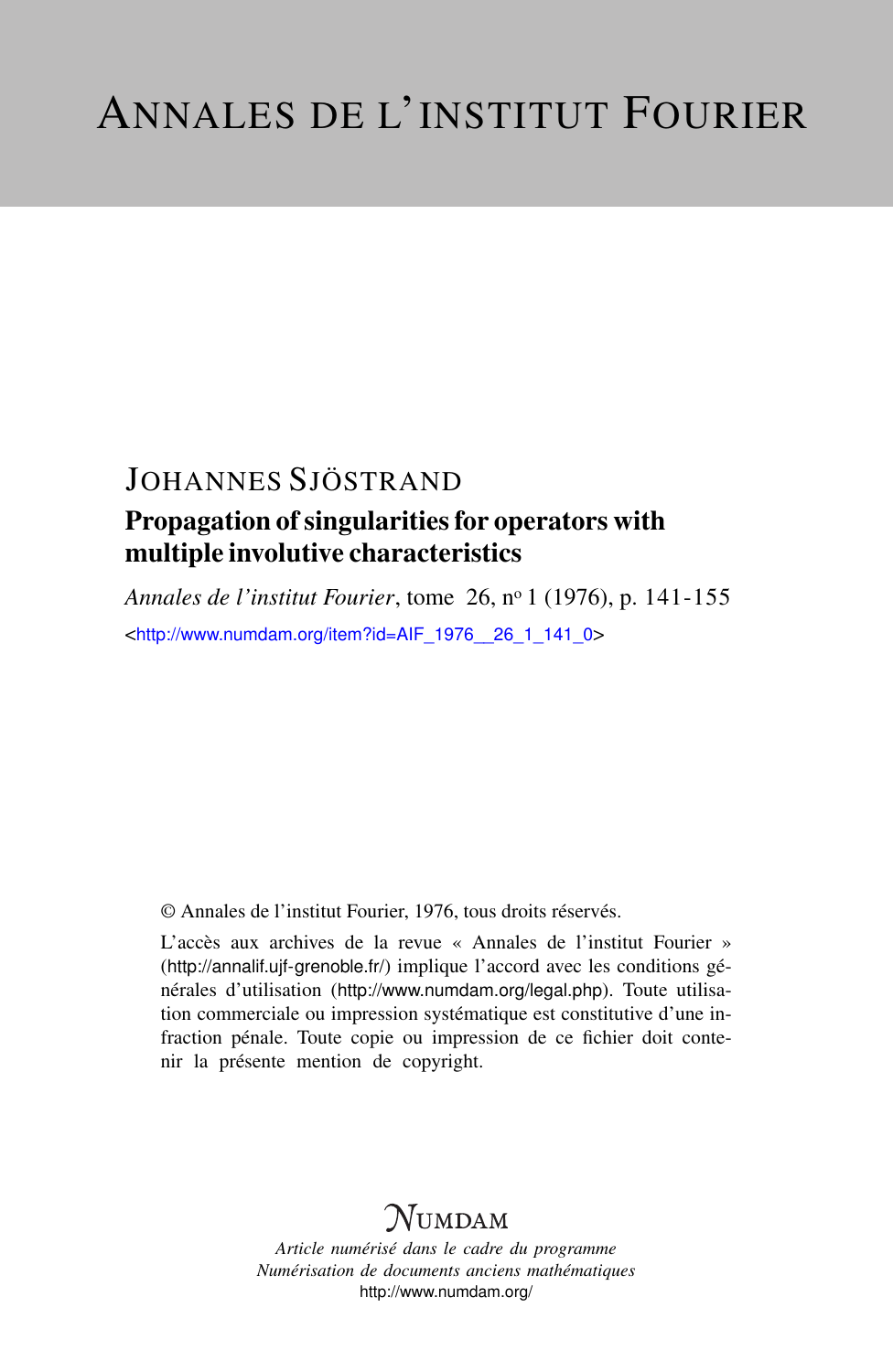# JOHANNES SJÖSTRAND

### Propagation of singularities for operators with multiple involutive characteristics

*Annales de l'institut Fourier*, tome 26, n<sup>o</sup> 1 (1976), p. 141-155 <[http://www.numdam.org/item?id=AIF\\_1976\\_\\_26\\_1\\_141\\_0](http://www.numdam.org/item?id=AIF_1976__26_1_141_0)>

© Annales de l'institut Fourier, 1976, tous droits réservés.

L'accès aux archives de la revue « Annales de l'institut Fourier » (<http://annalif.ujf-grenoble.fr/>) implique l'accord avec les conditions générales d'utilisation (<http://www.numdam.org/legal.php>). Toute utilisation commerciale ou impression systématique est constitutive d'une infraction pénale. Toute copie ou impression de ce fichier doit contenir la présente mention de copyright.

# NUMDAM

*Article numérisé dans le cadre du programme Numérisation de documents anciens mathématiques* <http://www.numdam.org/>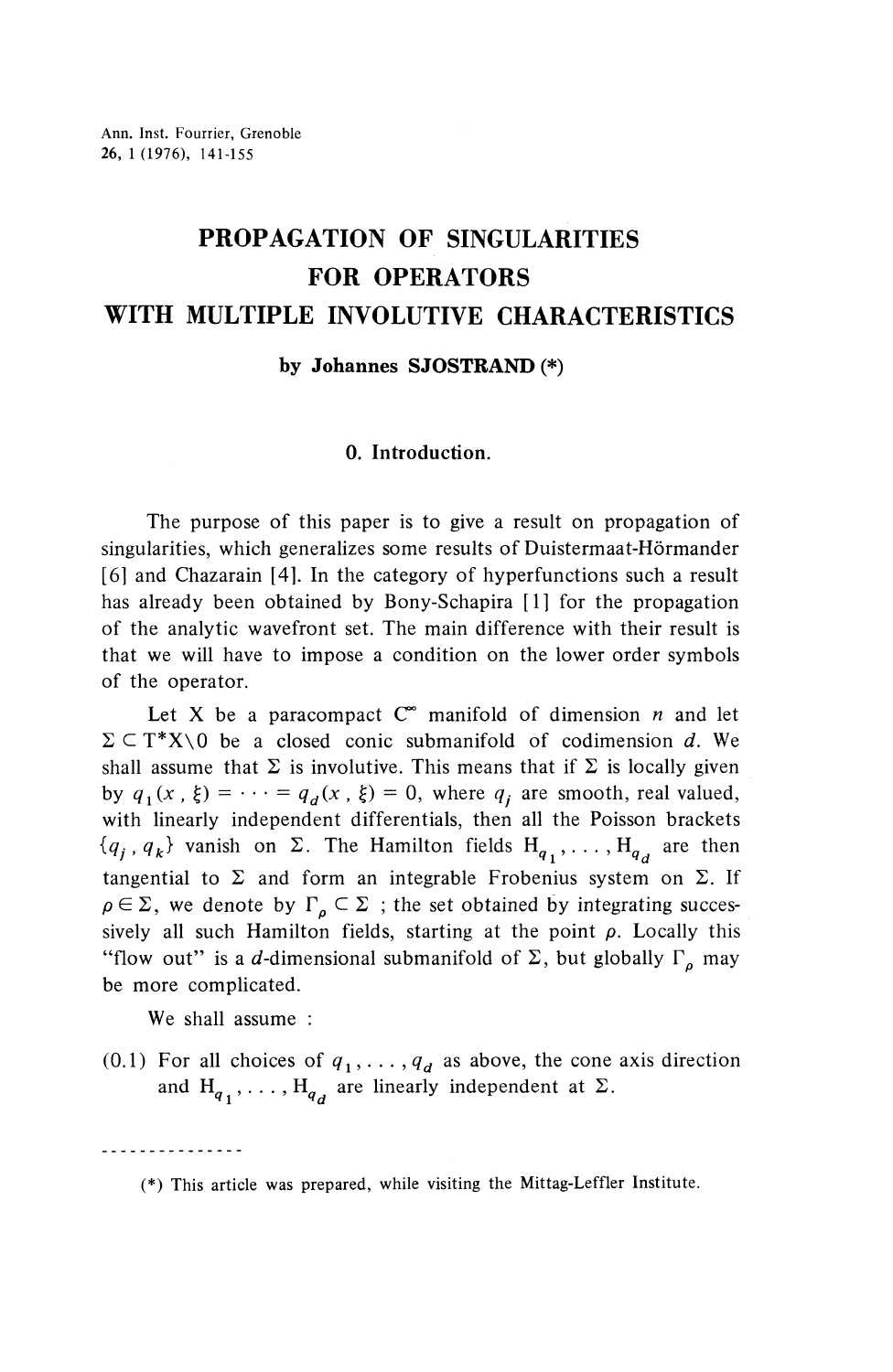# **PROPAGATION OF SINGULARITIES FOR OPERATORS WITH MULTIPLE INVOLUTIVE CHARACTERISTICS**

**by Johannes SJOSTRAND (\*)**

#### **0. Introduction.**

The purpose of this paper is to give a result on propagation of singularities, which generalizes some results of Duistermaat-Hormander [6] and Chazarain [4]. In the category of hyperfunctions such a result has already been obtained by Bony-Schapira [1] for the propagation of the analytic wavefront set. The main difference with their result is that we will have to impose a condition on the lower order symbols of the operator.

Let X be a paracompact  $C^{\infty}$  manifold of dimension *n* and let  $\Sigma \subset T^*X \setminus 0$  be a closed conic submanifold of codimension d. We shall assume that  $\Sigma$  is involutive. This means that if  $\Sigma$  is locally given by  $q_1(x , \xi) = \cdots = q_d(x , \xi) = 0$ , where  $q_i$  are smooth, real valued, with linearly independent differentials, then all the Poisson brackets  $\{q_i, q_k\}$  vanish on  $\Sigma$ . The Hamilton fields  $H_{q_1}, \ldots, H_{q_d}$  are then tangential to  $\Sigma$  and form an integrable Frobenius system on  $\Sigma$ . If  $\rho \in \Sigma$ , we denote by  $\Gamma_{\rho} \subset \Sigma$ ; the set obtained by integrating successively all such Hamilton fields, starting at the point  $\rho$ . Locally this "flow out" is a d-dimensional submanifold of  $\Sigma$ , but globally  $\Gamma_{\rho}$  may be more complicated.

We shall assume :

(0.1) For all choices of  $q_1, \ldots, q_d$  as above, the cone axis direction and  $H_{q_1}, \ldots, H_{q_d}$  are linearly independent at  $\Sigma$ .

. . . . . . . . . . . . . .

<sup>(\*)</sup> This article was prepared, while visiting the Mittag-Leffler Institute.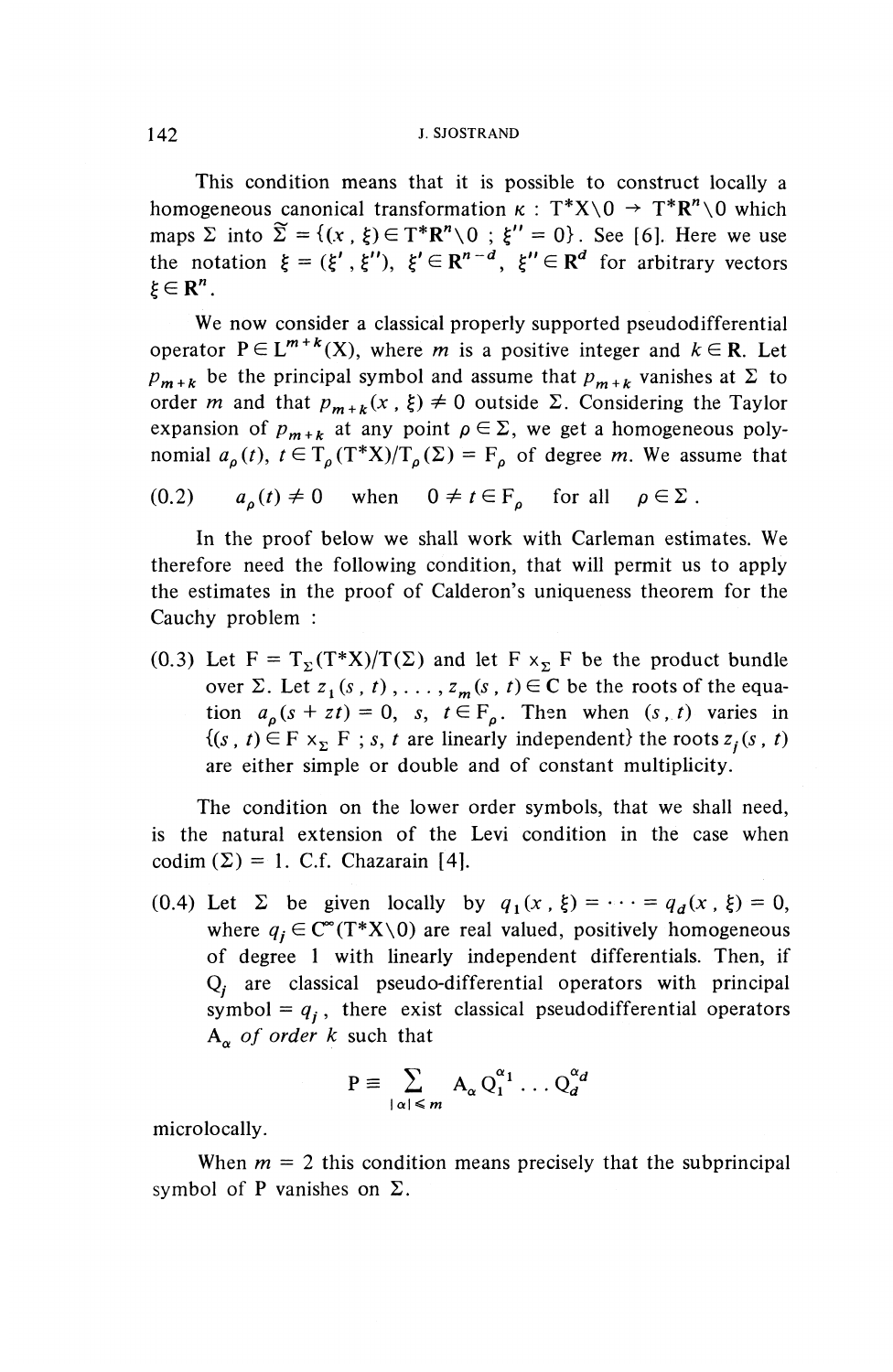This condition means that it is possible to construct locally a homogeneous canonical transformation  $\kappa$  :  $T^*X \setminus 0 \to T^*R^n \setminus 0$  which momogeneous canonical transformation  $\kappa : \Gamma \times \{0 \} \to \Gamma \times \{0 \}$  which<br>maps  $\Sigma$  into  $\widetilde{\Sigma} = \{(x, \xi) \in T^*R^n \setminus 0 \; ; \; \xi'' = 0\}$ . See [6]. Here we use the notation  $\xi = (\xi', \xi'')$ ,  $\xi' \in \mathbb{R}^{n-d}$ ,  $\xi'' \in \mathbb{R}^d$  for arbitrary vectors  $\xi \in \mathbb{R}^n$ .

We now consider a classical properly supported pseudodifferential operator  $P \in L^{m+k}(X)$ , where *m* is a positive integer and  $k \in \mathbb{R}$ . Let operator  $P \in L^{m+k}(X)$ , where *m* is a positive integer and  $k \in \mathbb{R}$ . Let  $p_{m+k}$  be the principal symbol and assume that  $p_{m+k}$  vanishes at  $\Sigma$  to order *m* and that  $p_{m+k}(x, \xi) \neq 0$  outside  $\Sigma$ . Considering the Taylor expansion of  $p_{m+k}$  at any point  $\rho \in \Sigma$ , we get a homogeneous polynomial  $a_{\rho}(t), t \in T_{\rho}(T^*X)/T_{\rho}(\Sigma) = F_{\rho}$  of degree m. We assume that

$$
(0.2) \t a\rho(t) \neq 0 \t when  $0 \neq t \in F_{\rho}$  for all  $\rho \in \Sigma$ .
$$

In the proof below we shall work with Carleman estimates. We therefore need the following condition, that will permit us to apply the estimates in the proof of Calderon's uniqueness theorem for the Cauchy problem :

(0.3) Let  $F = T_{y}(T^*X)/T(\Sigma)$  and let F  $x_y$  F be the product bundle over  $\Sigma$ . Let  $z_1$  (s, t), ...,  $z_m$  (s, t)  $\in$  C be the roots of the equation  $a_o(s + zt) = 0$ , s,  $t \in F_o$ . Then when  $(s, t)$  varies in  ${(s, t) \in F \times_{\Sigma} F ; s, t \text{ are linearly independent} }$  the roots  $z_i(s, t)$ are either simple or double and of constant multiplicity.

The condition on the lower order symbols, that we shall need, is the natural extension of the Levi condition in the case when codim  $(\Sigma) = 1$ . C.f. Chazarain [4].

(0.4) Let  $\Sigma$  be given locally by  $q_1(x, \xi) = \cdots = q_d(x, \xi) = 0$ , where  $q_i \in \mathbb{C}^{\infty}(\mathbb{T}^*X\setminus 0)$  are real valued, positively homogeneous of degree 1 with linearly independent differentials. Then, if  $Q_i$  are classical pseudo-differential operators with principal symbol =  $q_i$ , there exist classical pseudodifferential operators  $A^{\sigma}$  *of order k* such that

$$
P \equiv \sum_{|\alpha| \leq m} A_{\alpha} Q_1^{\alpha_1} \dots Q_d^{\alpha_d}
$$

microlocally.

When  $m = 2$  this condition means precisely that the subprincipal symbol of P vanishes on  $\Sigma$ .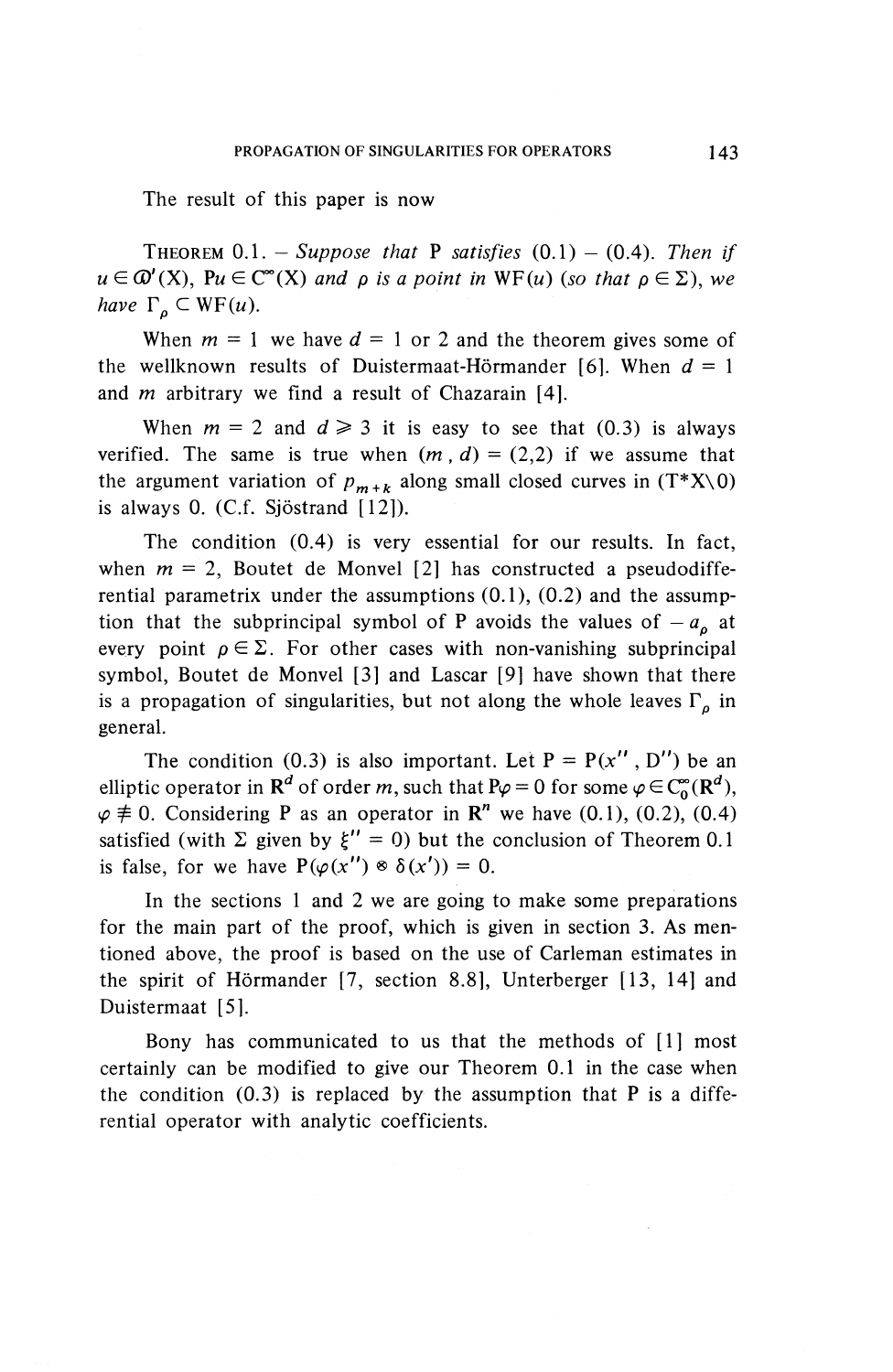The result of this paper is now

THEOREM  $0.1.$  - Suppose that P satisfies  $(0.1)$  -  $(0.4)$ . Then if  $u \in \mathcal{D}'(X)$ ,  $Pu \in \mathcal{C}^{\infty}(X)$  and p is a point in WF(*u*) (so that  $\rho \in \Sigma$ ), we *have*  $\Gamma_a \subset WF(u)$ .

When  $m = 1$  we have  $d = 1$  or 2 and the theorem gives some of the wellknown results of Duistermaat-Hörmander [6]. When  $d = 1$ and *m* arbitrary we find a result of Chazarain [4].

When  $m = 2$  and  $d \ge 3$  it is easy to see that (0.3) is always verified. The same is true when  $(m, d) = (2, 2)$  if we assume that the argument variation of  $p_{m+k}$  along small closed curves in  $(T^*X\setminus 0)$ is always 0. (C.f. Sjöstrand [12]).

The condition (0.4) is very essential for our results. In fact, when  $m = 2$ , Boutet de Monvel [2] has constructed a pseudodifferential parametrix under the assumptions (0.1), (0.2) and the assumption that the subprincipal symbol of P avoids the values of  $-a<sub>o</sub>$  at every point  $\rho \in \Sigma$ . For other cases with non-vanishing subprincipal symbol, Boutet de Monvel [3] and Lascar [9] have shown that there is a propagation of singularities, but not along the whole leaves  $\Gamma_{\rho}$  in general.

The condition (0.3) is also important. Let  $P = P(x'', D'')$  be an elliptic operator in  $\mathbb{R}^d$  of order m, such that  $P\varphi = 0$  for some  $\varphi \in C_0^{\infty}(\mathbb{R}^d)$ ,  $\varphi \neq 0$ . Considering P as an operator in R<sup>n</sup> we have (0.1), (0.2), (0.4) satisfied (with  $\Sigma$  given by  $\xi'' = 0$ ) but the conclusion of Theorem 0.1 is false, for we have  $P(\varphi(x'') \otimes \delta(x')) = 0$ .

In the sections 1 and 2 we are going to make some preparations for the main part of the proof, which is given in section 3. As mentioned above, the proof is based on the use of Carleman estimates in the spirit of Hormander [7, section 8.8], Unterberger [13, 14] and Duistermaat [5].

Bony has communicated to us that the methods of [1] most certainly can be modified to give our Theorem 0.1 in the case when the condition  $(0.3)$  is replaced by the assumption that P is a differential operator with analytic coefficients.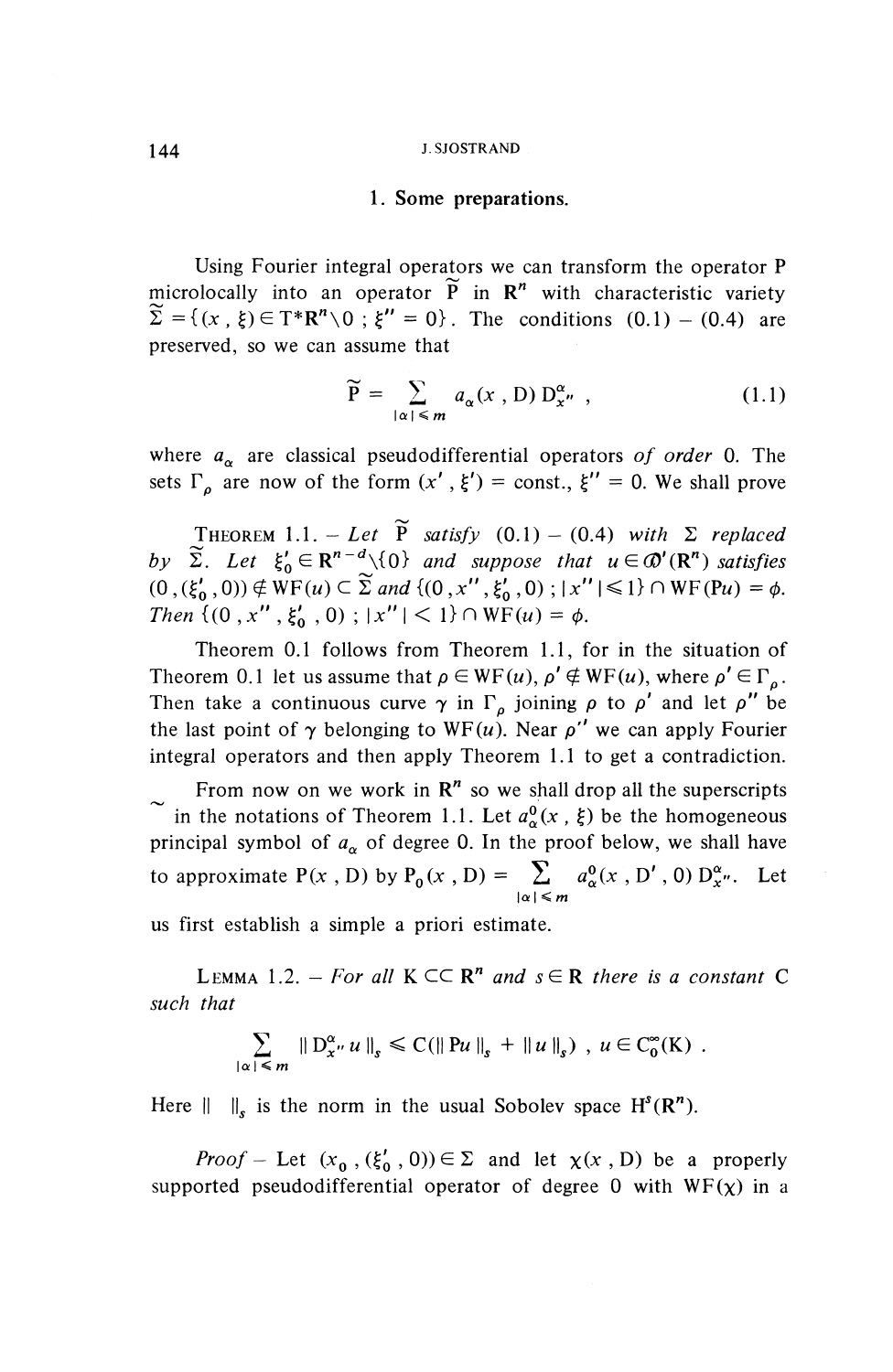#### 144 J.SJOSTRAND

#### **1. Some preparations.**

Using Fourier integral operators we can transform the operator P microlocally into an operator  $\tilde{P}$  in  $R^n$  with characteristic variety  $\widetilde{\Sigma} = \{(x, \xi) \in T^*R^n \setminus 0 : \xi'' = 0\}$ . The conditions (0.1) - (0.4) are preserved, so we can assume that

$$
\widetilde{P} = \sum_{|\alpha| \leq m} a_{\alpha}(x, D) D_{x''}^{\alpha}, \qquad (1.1)
$$

where  $a_{\alpha}$  are classical pseudodifferential operators of order 0. The sets  $\Gamma$ <sub>o</sub> are now of the form  $(x', \xi') = \text{const.}$ ,  $\xi'' = 0$ . We shall prove

THEOREM 1.1. -*Let*  $\widetilde{P}$  *satisfy* (0.1) - (0.4) with  $\Sigma$  replaced<br>by  $\widetilde{\Sigma}$ . Let  $\xi_0' \in \mathbb{R}^{n-d} \setminus \{0\}$  and suppose that  $u \in \mathcal{D}'(\mathbb{R}^n)$  *satisfies*  $(0,(\xi'_{0},0))\notin \text{WF}(u)\subset \widetilde{\Sigma}$  and  $\{(0,x'',\xi'_{0},0);|x''|\leq 1\}\cap \text{WF}(\mathbb{P} u) =\phi.$ Then  $\{(0, x'', \xi'_0, 0) ; |x''| < 1\} \cap \text{WF}(u) = \phi.$ 

Theorem 0.1 follows from Theorem 1.1, for in the situation of Theorem 0.1 let us assume that  $\rho \in WF(u)$ ,  $\rho' \notin WF(u)$ , where  $\rho' \in \Gamma_a$ . Then take a continuous curve  $\gamma$  in  $\Gamma_{\rho}$  joining  $\rho$  to  $\rho'$  and let  $\rho''$  be the last point of  $\gamma$  belonging to WF(u). Near  $\rho'$  we can apply Fourier integral operators and then apply Theorem 1.1 to get a contradiction.

From now on we work in  $\mathbb{R}^n$  so we shall drop all the superscripts in the notations of Theorem 1.1. Let  $a_{\alpha}^{0}(x, \xi)$  be the homogeneous principal symbol of  $a_{\alpha}$  of degree 0. In the proof below, we shall have to approximate P(x, D) by P<sub>0</sub>(x, D) =  $\sum_{|\alpha| \le m} a_{\alpha}^0(x, D', 0) D_x^{\alpha}$ . Let

us first establish a simple a priori estimate.

LEMMA 1.2. – For all  $K \subset \mathbb{R}^n$  and  $s \in \mathbb{R}$  there is a constant C *such that*

$$
\sum_{|\alpha| \leq m} \left\| D_{x''}^{\alpha} u \right\|_{s} \leq C \left( \left\| Pu \right\|_{s} + \left\| u \right\|_{s} \right), u \in C_{0}^{\infty}(K) .
$$

Here  $|| \t||_s$  is the norm in the usual Sobolev space  $H^s(\mathbb{R}^n)$ .

*Proof* – Let  $(x_0, (\xi'_0, 0)) \in \Sigma$  and let  $\chi(x, D)$  be a properly supported pseudodifferential operator of degree 0 with  $WF(x)$  in a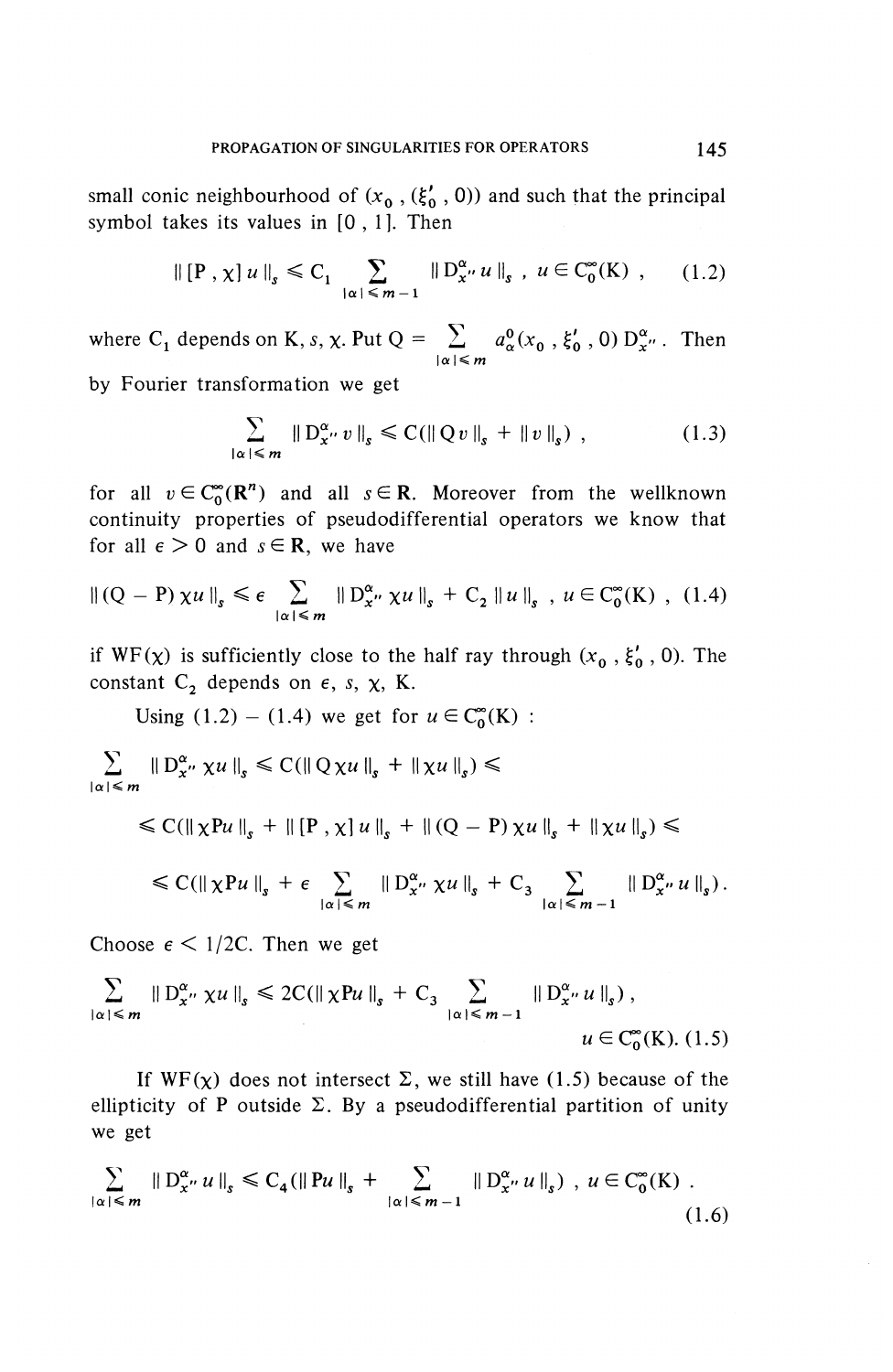small conic neighbourhood of  $(x_0, (\xi'_0, 0))$  and such that the principal symbol takes its values in [0,1]. Then

$$
\left\| [P \, , \chi] \, u \, \right\|_{s} \leq C_{1} \sum_{|\alpha| \leq m-1} \left\| D_{x}^{\alpha} u \, \right\|_{s} , \ u \in C_{0}^{\infty}(\mathcal{K}) , \qquad (1.2)
$$

where C<sub>1</sub> depends on K, *s*,  $\chi$ . Put Q =  $\sum_{|\alpha| \le m} a_{\alpha}^0(x_0, \xi_0, 0) D^{\alpha}_{x''}$ . Then

by Fourier transformation we get

$$
\sum_{|\alpha| \leq m} \| D_x^{\alpha} v \|_{s} \leq C (\| Q v \|_{s} + \| v \|_{s}) , \qquad (1.3)
$$

for all  $v \in C_{0}^{\infty}(\mathbb{R}^{n})$  and all  $s \in \mathbb{R}$ . Moreover from the wellknown continuity properties of pseudodifferential operators we know that for all  $\epsilon > 0$  and  $s \in \mathbb{R}$ , we have

$$
\left\| (Q - P) \chi u \right\|_{s} \leq \epsilon \sum_{|\alpha| \leq m} \left\| D_{x}^{\alpha} \chi u \right\|_{s} + C_{2} \left\| u \right\|_{s}, \ u \in C_{0}^{\infty}(K) , \ (1.4)
$$

if  $WF(\chi)$  is sufficiently close to the half ray through  $(x_0, \xi'_0, 0)$ . The constant  $C_2$  depends on  $\epsilon$ , s,  $\chi$ , K.

Using (1.2) – (1.4) we get for  $u \in C_0^{\infty}(K)$  :

Using (1.2) – (1.4) we get for  $u \in C_0^{\infty}$ <br>  $\sum_{|\alpha| \le m} ||D_x^{\alpha} \times u||_s \le C(||Q \times u||_s + ||\times u||_s) \le$ 

$$
\leq C(||\chi Pu||_s + ||[P, \chi]u||_s + ||(Q - P)\chi u||_s + ||\chi u||_s) \leq
$$

$$
\leq C(||\chi P u||_s + \epsilon \sum_{|\alpha| \leq m} ||D_{x''}^{\alpha} \chi u||_s + C_3 \sum_{|\alpha| \leq m-1} ||D_{x''}^{\alpha} u||_s).
$$

Choose  $\epsilon$  < 1/2C. Then we get

$$
\sum_{|\alpha| \leq m} \| D_{x''}^{\alpha} \chi u \|_{s} \leq 2C (\|\chi P u\|_{s} + C_{3} \sum_{|\alpha| \leq m-1} \| D_{x''}^{\alpha} u \|_{s}),
$$
  
  $u \in C_{0}^{\infty}(K). (1.5)$ 

If  $WF(\chi)$  does not intersect  $\Sigma$ , we still have (1.5) because of the ellipticity of P outside  $\Sigma$ . By a pseudodifferential partition of unit we get If  $WF(x)$  does not intersect  $\Sigma$ , we still have (1.5) because of tellipticity of P outside  $\Sigma$ . By a pseudodifferential partition of un<br>we get<br> $\sum_{\alpha|\leq m} ||D^{\alpha}_{x''} u||_{s} \leq C_{4} (||Pu||_{s} + \sum_{|\alpha| \leq m-1} ||D^{\alpha}_{x''} u||_{s})$ ,  $u \in C^{\$ 

$$
\sum_{|\alpha| \leq m} \| D_x^{\alpha} u \|_{s} \leq C_4 (\| Pu \|_{s} + \sum_{|\alpha| \leq m-1} \| D_x^{\alpha} u \|_{s}) , u \in C_0^{\infty}(K) .
$$
\n(1.6)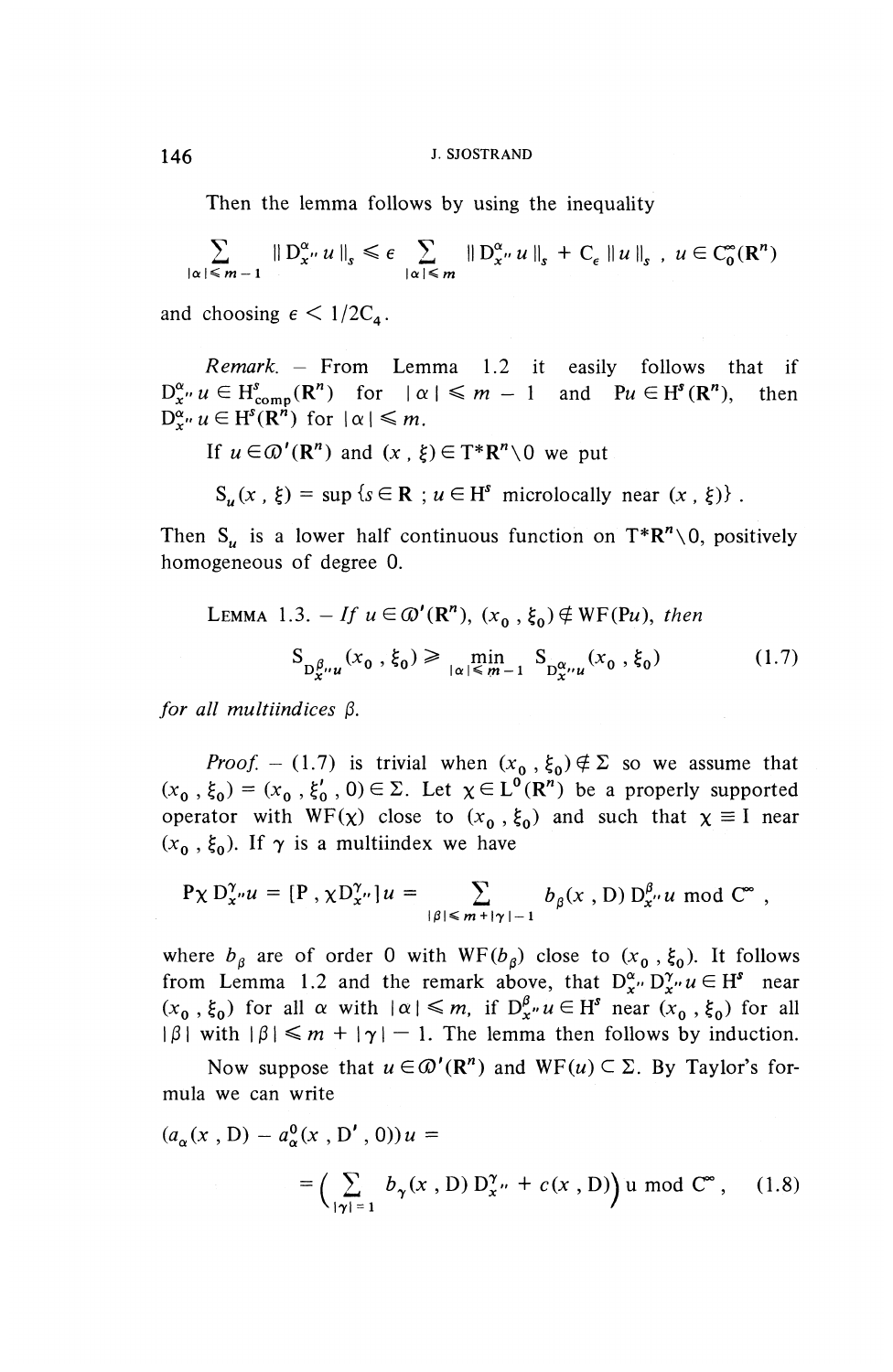Then the lemma follows by using the inequality

$$
\sum_{|\alpha| \leq m-1} \| D_{x}^{\alpha} u \|_{s} \leq \epsilon \sum_{|\alpha| \leq m} \| D_{x}^{\alpha} u \|_{s} + C_{\epsilon} \| u \|_{s} , u \in C_{0}^{\infty}(\mathbb{R}^{n})
$$

and choosing  $\epsilon < 1/2C_a$ .

*Remark. -* From Lemma 1.2 it easily follows that if  $D_{\mathbf{x}^{\prime\prime}}^{\alpha} u \in \mathrm{H}_{\mathrm{comp}}^{s}(\mathbb{R}^{n})$  for  $|\alpha| \leq m - 1$  and  $Pu \in \mathrm{H}^{s}(\mathbb{R}^{n})$ , then  $D^{\alpha}_{r} u \in H^{s}(R^{n})$  for  $|\alpha| \leq m$ .

If  $u \in \mathcal{D}'(\mathbb{R}^n)$  and  $(x, \xi) \in T^* \mathbb{R}^n \setminus 0$  we put

$$
S_u(x, \xi) = \sup \{s \in \mathbb{R} : u \in H^s \text{ microlocally near } (x, \xi) \}.
$$

Then  $S_u$  is a lower half continuous function on  $T^*R^n\setminus 0$ , positively homogeneous of degree 0.

LEMMA 1.3. – If 
$$
u \in \omega'(\mathbb{R}^n)
$$
,  $(x_0, \xi_0) \notin \text{WF}(\text{Pu})$ , then  

$$
S_{\mathcal{D}_{x}^{\beta} \cup \mathcal{U}}(x_0, \xi_0) \ge \min_{|\alpha| \le m-1} S_{\mathcal{D}_{x}^{\alpha} \cup \mathcal{U}}(x_0, \xi_0)
$$
(1.7)

*for all multiindices P.*

*Proof.* - (1.7) is trivial when  $(x_0, \xi_0) \notin \Sigma$  so we assume that  $(x_0, \xi_0) = (x_0, \xi'_0, 0) \in \Sigma$ . Let  $\chi \in L^0(\mathbb{R}^n)$  be a properly supported **Proof.** - (1.7) is trivial when  $(x_0, \xi_0) \notin \Sigma$  so we assume that  $(x_0, \xi_0) = (x_0, \xi'_0, 0) \in \Sigma$ . Let  $\chi \in L^0(\mathbb{R}^n)$  be a properly supported operator with  $WF(\chi)$  close to  $(x_0, \xi_0)$  and such that  $\chi \equiv I$  near  $(x - \xi)$ operator with  $WF(\chi)$  close to  $(x_0, \xi_0)$  and such that  $\chi \equiv I$  near  $(x_0, \xi_0)$ . If  $\gamma$  is a multiindex we have

$$
P\chi D_{x}^{\gamma} u = [P, \chi D_{x}^{\gamma} u] u = \sum_{|\beta| \le m + |\gamma| - 1} b_{\beta}(x, D) D_{x}^{\beta} u \text{ mod } C^{\infty},
$$

where  $b_{\beta}$  are of order 0 with WF( $b_{\beta}$ ) close to  $(x_{0}, \xi_{0})$ . It follows from Lemma 1.2 and the remark above, that  $D^{\alpha}_{x''} D^{\gamma}_{x''} u \in H^s$  near  $(x_0, \xi_0)$  for all  $\alpha$  with  $|\alpha| \leq m$ , if  $D^{\beta}_{x''} u \in H^s$  near  $(x_0, \xi_0)$  for all  $|\beta|$  with  $|\beta| \leq m + |\gamma| - 1$ . The lemma then follows by induction.

Now suppose that  $u \in \Omega'(\mathbb{R}^n)$  and  $WF(u) \subset \Sigma$ . By Taylor's formula we can write

$$
(a_{\alpha}(x, D) - a_{\alpha}^{0}(x, D', 0))u =
$$
  
= 
$$
\left(\sum_{|\gamma|=1} b_{\gamma}(x, D) D_{x}^{\gamma} + c(x, D)\right) u \text{ mod } C^{\infty}, \quad (1.8)
$$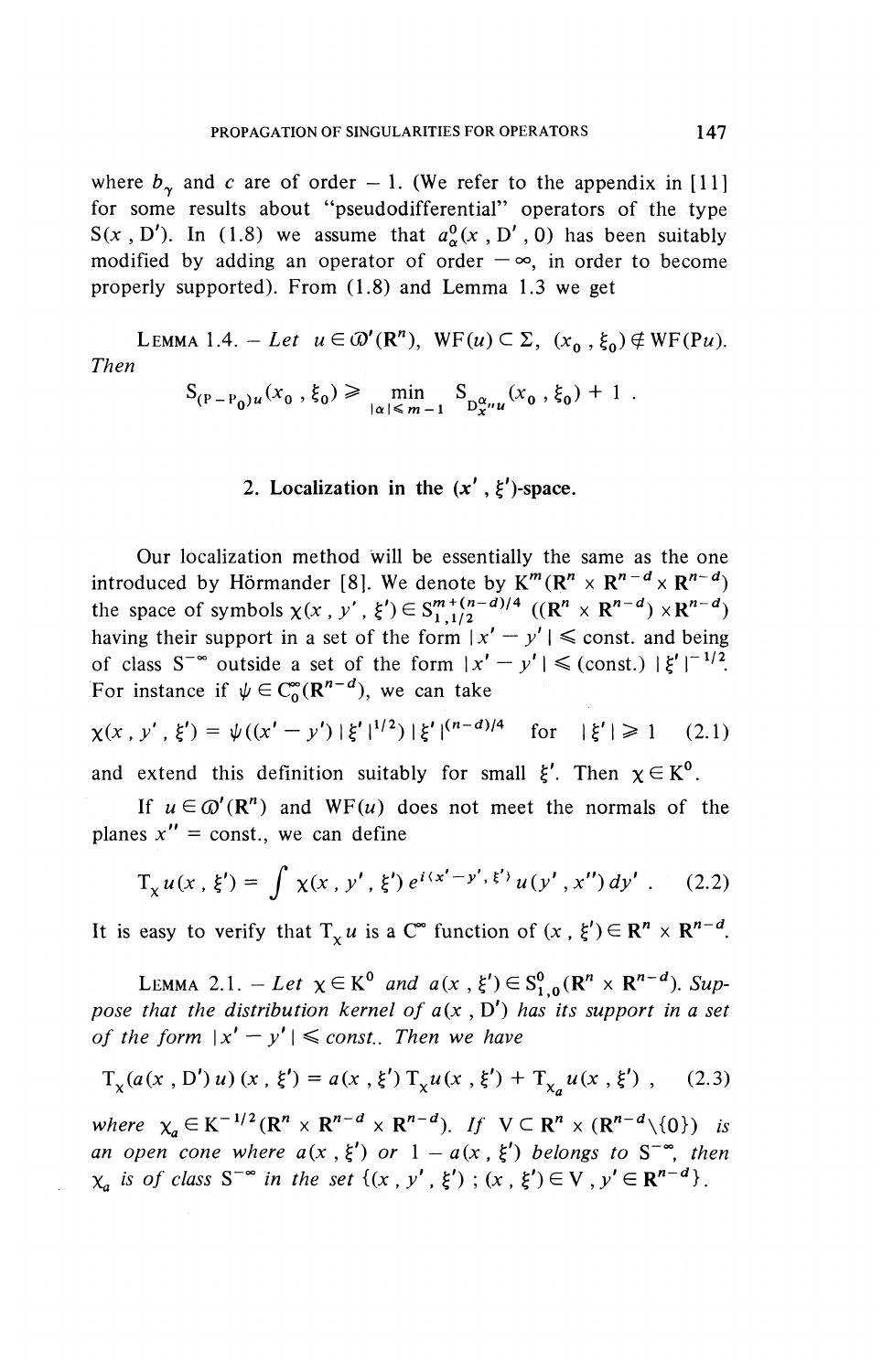where  $b<sub>x</sub>$  and *c* are of order - 1. (We refer to the appendix in [11] for some results about "pseudodifferential" operators of the type  $S(x, D')$ . In (1.8) we assume that  $a^0(x, D', 0)$  has been suitably modified by adding an operator of order  $-\infty$ , in order to become properly supported). From (1.8) and Lemma 1.3 we get

LEMMA 1.4. - Let  $u \in \Omega^{\prime}(\mathbb{R}^n)$ , WF( $u$ )  $\subset \Sigma$ ,  $(x_0^{\prime}, \xi_0) \notin \mathbb{W}F(\mathbb{P}u)$ . *Then*

$$
S_{(P-P_0)u}(x_0, \xi_0) \ge \min_{|\alpha| \le m-1} S_{D_{x}^{\alpha}u}(x_0, \xi_0) + 1.
$$

#### 2. Localization in the  $(x', \xi')$ -space.

Our localization method will be essentially the same as the one introduced by Hörmander [8]. We denote by  $K^m(R^n \times R^{n-d} \times R^{n-d})$ the space of symbols  $\chi(x, y', \xi') \in S^{m+(n-d)/4}_{1,1/2}$   $((R^n \times R^{n-d}) \times R^{n-d})$ <br>having their support in a set of the form  $|x' - y'| \le$  const. and being of class S<sup>-∞</sup> outside a set of the form  $|x' - y'| \leq$  (const.)  $|\xi'|^{-1/2}$ . For instance if  $\psi \in C_0^{\infty} (\mathbb{R}^{n-d})$ , we can take

$$
\chi(x \, , \, y' \, , \, \xi') = \psi((x' - y') \, | \, \xi' \, |^{1/2}) \, | \, \xi' \, |^{(n-d)/4} \quad \text{for} \quad | \, \xi' \, | \geq 1 \quad (2.1)
$$

and extend this definition suitably for small  $\xi'$ . Then  $\chi \in K^0$ .

If  $u \in \mathcal{O}'(\mathbb{R}^n)$  and WF(u) does not meet the normals of the planes  $x'' = \text{const.}$ , we can define

$$
T_x u(x, \xi') = \int \chi(x, y', \xi') e^{i(x'-y', \xi')} u(y', x'') dy' . \quad (2.2)
$$

It is easy to verify that  $T_v u$  is a C<sup>\*</sup>° function of  $(x , \xi') \in \mathbb{R}^n \times \mathbb{R}^{n-d}$ 

LEMMA 2.1. - Let  $\chi \in K^0$  and  $a(x, \xi') \in S^0_{1,0}(\mathbb{R}^n \times \mathbb{R}^{n-d})$ . Sup*pose that the distribution kernel of*  $a(x, D')$  *has its support in a set of the form*  $|x' - y'| \le const.$  Then we have

$$
T_x(a(x, D')u)(x, \xi') = a(x, \xi') T_x u(x, \xi') + T_{x_a} u(x, \xi') , \quad (2.3)
$$

*where*  $\chi_a \in K^{-1/2}$   $(R^n \times R^{n-d} \times R^{n-d})$ . *If*  $V \subset R^n \times (R^{n-d} \setminus \{0\})$  *is* where  $\chi_a \in K^{-1/2}$  ( $\mathbb{R}^n \times \mathbb{R}^{n-a} \times \mathbb{R}^{n-a}$ ). If  $V \subset \mathbb{R}^n \times (\mathbb{R}^{n-a} \setminus \{0\})$  is an open cone where  $a(x, \xi')$  or  $1 - a(x, \xi')$  belongs to  $S^{-\infty}$ , then  $X_a$  is of class  $S^{-\infty}$  in the set  $\{(x, y', \xi') : (x, \xi') \in V, y' \in \mathbb{R}^{n-d}\}.$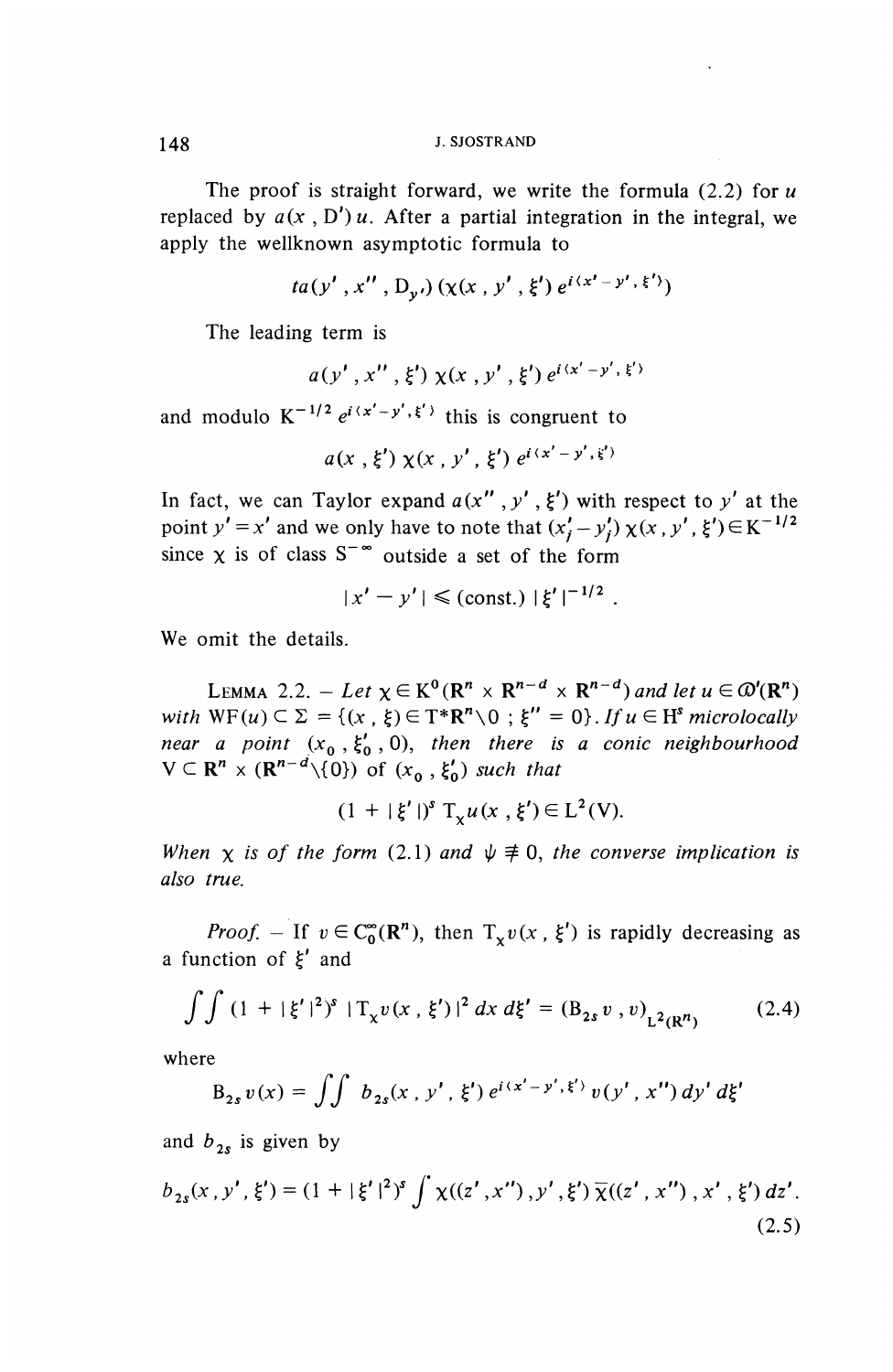#### 148 J. SJOSTRAND

The proof is straight forward, we write the formula (2.2) for *u* replaced by  $a(x, D')u$ . After a partial integration in the integral, we apply the wellknown asymptotic formula to

$$
ta(y', x'', D_{y'}) (x(x, y', \xi') e^{i(x'-y', \xi')})
$$

The leading term is

$$
a(y', x'', \xi') \chi(x, y', \xi') e^{i(x'-y', \xi')}
$$

and modulo  $K^{-1/2} e^{i(x'-y',\xi')}$  this is congruent to

$$
a(x, \xi') \chi(x, y', \xi') e^{i(x'-y', \xi')}
$$

In fact, we can Taylor expand  $a(x'', y', \xi')$  with respect to y' at the point  $y' = x'$  and we only have to note that  $(x'_{i} - y'_{i})\chi(x, y', \xi') \in K^{-1/2}$ since  $\chi$  is of class  $S^{-\infty}$  outside a set of the form

$$
|x'-y'| \leq (\text{const.}) |\xi'|^{-1/2}.
$$

We omit the details.

LEMMA 2.2.  $-$  Let  $\chi \in K^0(\mathbb{R}^n \times \mathbb{R}^{n-d} \times \mathbb{R}^{n-d})$  and let  $u \in \mathcal{D}'(\mathbb{R}^n)$ with  $WF(u) \subseteq \Sigma = \{(x , \xi) \in T^*R^n \setminus 0 ; \xi'' = 0\}$ . If  $u \in H^s$  microlocally *near a point*  $(x_0, \xi'_0, 0)$ , then there is a conic neighbourhood  $V \subset \mathbb{R}^n \times (\mathbb{R}^{n-d} \setminus \{0\})$  of  $(x_0, \xi'_0)$  such that

$$
(1 + |\xi'|)^s T_x u(x, \xi') \in L^2(V).
$$

*When*  $\chi$  *is of the form* (2.1) *and*  $\psi \not\equiv 0$ *, the converse implication is also true.*

*Proof.* – If  $v \in C_0^{\infty}(\mathbb{R}^n)$ , then  $T_xv(x, \xi')$  is rapidly decreasing a a function of  $\xi'$  and

$$
\int \int (1 + |\xi'|^2)^s |T_x v(x, \xi')|^2 dx d\xi' = (B_{2s} v, v)_{L^2(\mathbb{R}^n)}
$$
(2.4)

where

The  
\n
$$
B_{2s} v(x) = \iint b_{2s}(x, y', \xi') e^{i(x'-y', \xi')} v(y', x'') dy' d\xi'
$$

and  $b_{2s}$  is given by

$$
b_{2s}(x, y', \xi') = (1 + |\xi'|^2)^s \int \chi((z', x''), y', \xi') \overline{\chi}((z', x''), x', \xi') dz'.
$$
\n(2.5)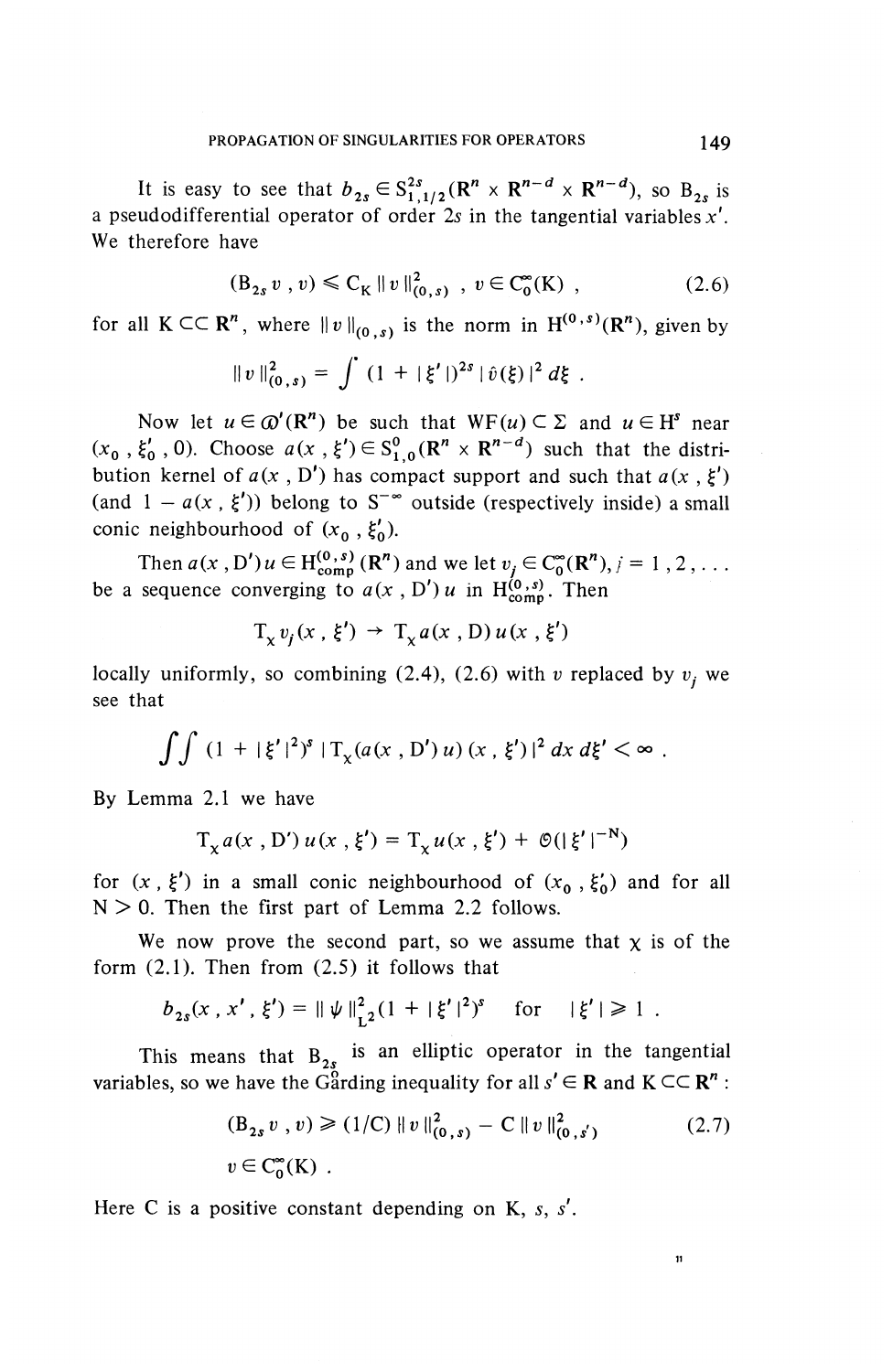It is easy to see that  $b_{2s} \in S^{2s}_{1,1/2}(\mathbb{R}^n \times \mathbb{R}^{n-d} \times \mathbb{R}^{n-d})$ , so  $B_{2s}$  is a pseudodifferential operator of order *Is* in the tangential variables^'. We therefore have

$$
(\mathcal{B}_{2s} v, v) \leq C_K \|v\|_{(0, s)}^2, v \in C_0^{\infty}(K) ,
$$
 (2.6)

for all  $K \subset \subset \mathbb{R}^n$ , where  $||v||_{(0,s)}$  is the norm in  $H^{(0,s)}(\mathbb{R}^n)$ , given by

$$
||v||_{(0, s)}^2 = \int (1 + |\xi'|)^{2s} |\hat{v}(\xi)|^2 d\xi.
$$

Now let  $u \in \mathcal{D}'(\mathbb{R}^n)$  be such that  $WF(u) \subset \Sigma$  and  $u \in H^s$  near  $(x_0, \xi'_0, 0)$ . Choose  $a(x , \xi') \in S^0_{1,0}(\mathbb{R}^n \times \mathbb{R}^{n-d})$  such that the distribution kernel of  $a(x, D')$  has compact support and such that  $a(x, \xi')$ (and  $1 - a(x, \xi')$ ) belong to S<sup>- $\infty$ </sup> outside (respectively inside) a small conic neighbourhood of  $(x_0, \xi'_0)$ .

Then  $a(x, D')u \in H_{comm}^{(0, s)}(R^n)$  and we let  $v_i \in C_{0}^{\infty}(R^n), i = 1, 2, ...$ be a sequence converging to  $a(x, D')$  in H<sup> $(0, s)$ </sup>. Then

$$
T_x v_i(x, \xi') \rightarrow T_x a(x, D) u(x, \xi')
$$

locally uniformly, so combining  $(2.4)$ ,  $(2.6)$  with v replaced by  $v_i$ , we see that

$$
\int \int (1+|\xi'|^2)^s \, |T_{\chi}(a(x\,,\,D')\,u)\,(x\,,\,\xi')\,|^2\,dx\,d\xi' < \infty\;.
$$

By Lemma 2.1 we have

$$
T_x a(x, D') u(x, \xi') = T_x u(x, \xi') + \mathcal{O}(|\xi'|^{-N})
$$

for  $(x , \xi')$  in a small conic neighbourhood of  $(x_0 , \xi'_0)$  and for all  $N > 0$ . Then the first part of Lemma 2.2 follows.

We now prove the second part, so we assume that  $\chi$  is of the form (2.1). Then from (2.5) it follows that

$$
b_{2s}(x, x', \xi') = ||\psi||_{L^2}^2 (1 + |\xi'|^2)^s
$$
 for  $|\xi'| \ge 1$ .

This means that  $B_{2s}$  is an elliptic operator in the tangential variables, so we have the Garding inequality for all  $s' \in \mathbb{R}$  and  $K \subset \subset \mathbb{R}^n$ :

$$
(B_{2s} v, v) \ge (1/C) \|v\|_{(0, s)}^2 - C \|v\|_{(0, s')}^2
$$
  
 
$$
v \in C_0^{\infty}(K) .
$$
 (2.7)

 $11$ 

Here C is a positive constant depending on K, *s, s' .*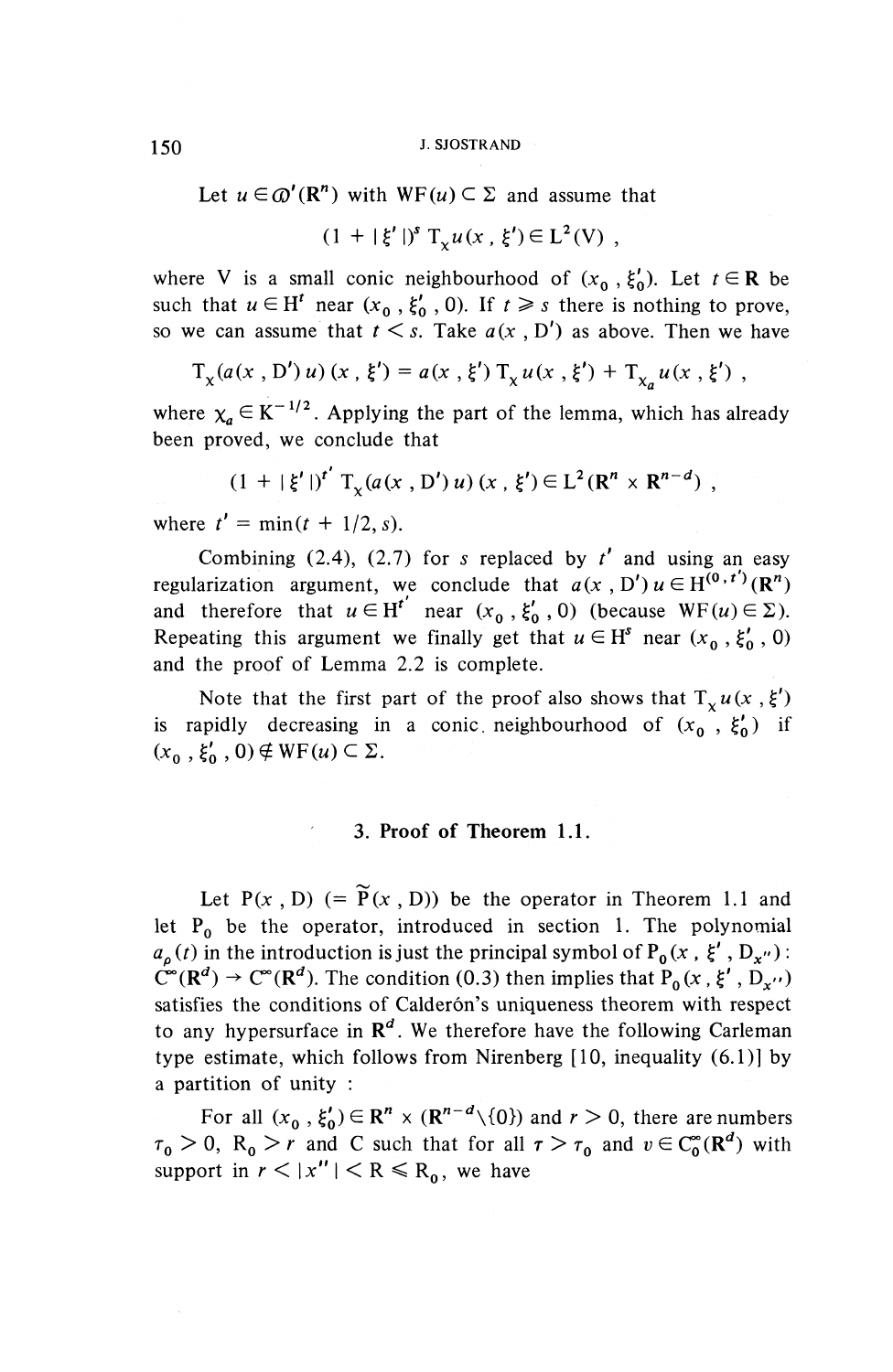150 J. SJOSTRAND

Let  $u \in \mathcal{D}'(\mathbb{R}^n)$  with  $WF(u) \subset \Sigma$  and assume that

 $(1 + |\xi'|)^s$  T<sub>y</sub> $u(x, \xi') \in L^2(V)$ ,

where V is a small conic neighbourhood of  $(x_0, \xi'_0)$ . Let  $t \in \mathbb{R}$  be such that  $u \in H^t$  near  $(x_0, \xi'_0, 0)$ . If  $t \geq s$  there is nothing to prove, so we can assume that  $t \leq s$ . Take  $a(x, D')$  as above. Then we have

$$
T_x(a(x, D')u)(x, \xi') = a(x, \xi') T_x u(x, \xi') + T_{x_a} u(x, \xi') ,
$$

where  $\chi_a \in K^{-1/2}$ . Applying the part of the lemma, which has already been proved, we conclude that

$$
(1 + |\xi'|)^{t'} T_{\chi}(a(x, D') u) (x, \xi') \in L^{2}(R^{n} \times R^{n-d}),
$$

where  $t' = \min(t + 1/2, s)$ .

Combining  $(2.4)$ ,  $(2.7)$  for s replaced by  $t'$  and using an easy regularization argument, we conclude that  $a(x, D') u \in H^{(0, t')}(\mathbb{R}^n)$ and therefore that  $u \in H^{t'}$  near  $(x_0, \xi'_0, 0)$  (because WF(u) $\in \Sigma$ ). Repeating this argument we finally get that  $u \in H^s$  near  $(x_0, \xi'_0, 0)$ and the proof of Lemma 2.2 is complete.

Note that the first part of the proof also shows that  $T_x u(x, \xi')$ is rapidly decreasing in a conic neighbourhood of  $(x_0, \xi'_0)$  if  $(x_0, \xi'_0, 0) \notin \text{WF}(u) \subset \Sigma$ .

#### **3. Proof of Theorem 1.1.**

Let  $P(x, D)$  (=  $\widetilde{P}(x, D)$ ) be the operator in Theorem 1.1 and let  $P_0$  be the operator, introduced in section 1. The polynomial  $a_{\rho}(t)$  in the introduction is just the principal symbol of P<sub>0</sub>(x,  $\xi'$ , D<sub>x"</sub>):  $\tilde{C}^{\infty}(\mathbb{R}^d) \to C^{\infty}(\mathbb{R}^d)$ . The condition (0.3) then implies that  $P_0(x, \xi', D_{x'})$ satisfies the conditions of Calderón's uniqueness theorem with respect to any hypersurface in *R<sup>d</sup>* . We therefore have the following Carleman type estimate, which follows from Nirenberg [10, inequality (6.1)] by a partition of unity :

For all  $(x_0, \xi'_0) \in \mathbb{R}^n \times (\mathbb{R}^{n-d} \setminus \{0\})$  and  $r > 0$ , there are numbers  $\tau_0 > 0$ ,  $R_0 > r$  and C such that for all  $\tau > \tau_0$  and  $v \in C_0^{\infty}(\mathbb{R}^d)$  with support in  $r < |x''| < R \le R_0$ , we have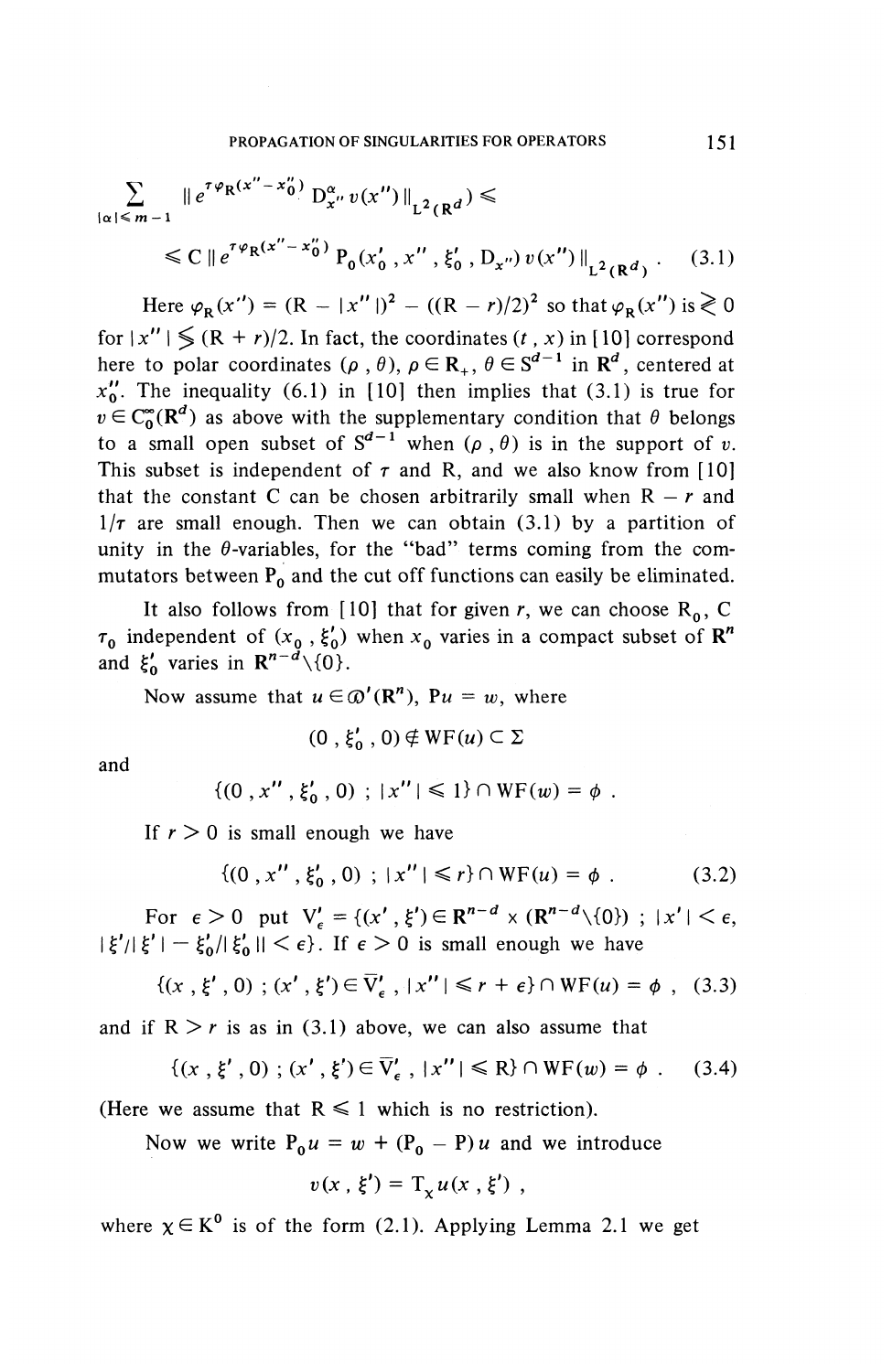$$
\sum_{|\alpha| \le m-1} \|e^{\tau \varphi_R(x'' - x''_0)} D_{x''}^{\alpha} v(x'')\|_{L^2(\mathbb{R}^d)} \le
$$
  
\$\le C \mid e^{\tau \varphi\_R(x'' - x''\_0)} P\_0(x'\_0, x'', \xi'\_0, D\_{x''}) v(x'')\|\_{L^2(\mathbb{R}^d)} \tag{3.1}

Here  $\varphi_R(x'') = (R - |x''|)^2 - ((R - r)/2)^2$  so that  $\varphi_R(x'')$  is  $\ge 0$ for  $|x''| \leq (R + r)/2$ . In fact, the coordinates  $(t, x)$  in [10] correspond here to polar coordinates ( $\rho$ ,  $\theta$ ),  $\rho \in \mathbb{R}_+$ ,  $\theta \in S^{d-1}$  in  $\mathbb{R}^d$ , centered at  $x_0$ . The inequality (6.1) in [10] then implies that (3.1) is true for  $v \in C_0^{\infty}(\mathbb{R}^d)$  as above with the supplementary condition that  $\theta$  belongs to a small open subset of  $S^{d-1}$  when  $(\rho, \theta)$  is in the support of v. This subset is independent of  $\tau$  and R, and we also know from [10] that the constant C can be chosen arbitrarily small when  $R - r$  and  $1/\tau$  are small enough. Then we can obtain (3.1) by a partition of unity in the  $\theta$ -variables, for the "bad" terms coming from the commutators between P<sub>0</sub> and the cut off functions can easily be eliminated.

It also follows from [10] that for given r, we can choose  $R_0$ , C  $\tau_0$  independent of  $(x_0, \xi'_0)$  when  $x_0$  varies in a compact subset of  $\mathbb{R}^n$  $r_0$  independent of  $(x_0, \xi_0)$ <br>and  $\xi'_0$  varies in  $\mathbb{R}^{n-d}\setminus\{0\}$ .

Now assume that  $u \in \mathcal{D}'(\mathbb{R}^n)$ ,  $Pu = w$ , where

$$
(0\;,\xi_0'\;,\,0)\notin \mathrm{WF}(u)\subset \Sigma
$$

and

$$
\{(0, x'', \xi'_0, 0) ; |x''| \leq 1\} \cap WF(w) = \phi.
$$

If  $r > 0$  is small enough we have

$$
\{(0, x'', \xi'_0, 0) ; |x''| \le r\} \cap WF(u) = \phi . \tag{3.2}
$$

For  $\epsilon > 0$  put  $V'_{\epsilon} = \{(x', \xi') \in \mathbb{R}^{n-d} \times (\mathbb{R}^{n-d} \setminus \{0\}) ; |x'| < \epsilon$ ,  $|\xi'| |\xi'| - \xi_0' / |\xi_0'| < \epsilon$ . If  $\epsilon > 0$  is small enough we have

$$
\{(x, \xi', 0) ; (x', \xi') \in \overline{V}'_{\epsilon}, |x''| \le r + \epsilon\} \cap WF(u) = \phi, \quad (3.3)
$$

and if  $R > r$  is as in (3.1) above, we can also assume that

$$
\{(x', \xi', 0) ; (x', \xi') \in \overline{V}'_{\epsilon}, |x''| \le R\} \cap WF(w) = \phi .
$$
 (3.4)

(Here we assume that  $R \leq 1$  which is no restriction).

Now we write  $P_0 u = w + (P_0 - P) u$  and we introduce

$$
v(x,\xi') = \mathrm{T}_{\chi} u(x,\xi') ,
$$

where  $\chi \in K^0$  is of the form (2.1). Applying Lemma 2.1 we get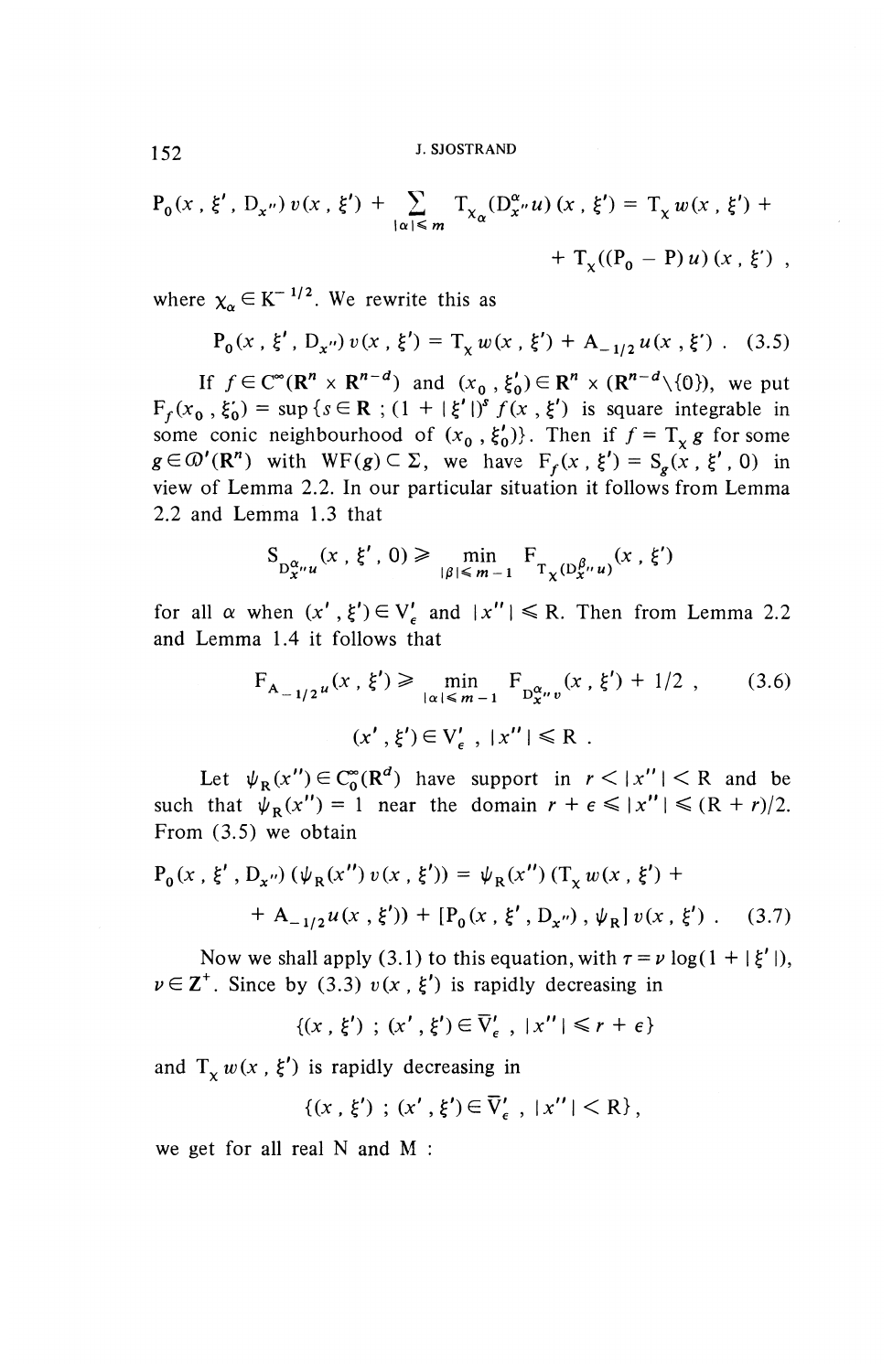152 J. SJOSTRAND

$$
P_0(x, \xi', D_{x''}) v(x, \xi') + \sum_{|\alpha| \le m} T_{\chi_{\alpha}}(D_{x''}^{\alpha} u)(x, \xi') = T_{\chi} w(x, \xi') +
$$
  
+  $T_{\chi}((P_0 - P) u)(x, \xi')$ ,

where  $\chi_{\alpha} \in K^{-1/2}$ . We rewrite this as

$$
P_0(x, \xi', D_{x''}) v(x, \xi') = T_x w(x, \xi') + A_{-1/2} u(x, \xi') .
$$
 (3.5)

If  $f \in C^{\infty}(\mathbb{R}^n \times \mathbb{R}^{n-d})$  and  $(x^0, \xi'_0) \in \mathbb{R}^n \times (\mathbb{R}^{n-d} \setminus \{0\})$ , we put  $F_f(x_0, \xi_0) = \sup \{ s \in \mathbb{R} : (1 + |\xi'|)^s f(x, \xi') \text{ is square integrable in some conic neighbourhood of } (x_0, \xi_0')\}.$  Then if  $f = T_\chi g$  for some some conic neighbourhood of  $(x_0, \xi'_0)$ . Then if  $f = T_x g$  for some  $g \in \mathcal{D}'(\mathbb{R}^n)$  with  $WF(g) \subset \Sigma$ , we have  $F_f(x, \xi') = S_g(x, \xi', 0)$  in view of Lemma 2.2. In our particular situation it follows from Lemma 2.2 and Lemma 1.3 that

$$
S_{D_{x}^{\alpha}u}(x, \xi', 0) \ge \min_{|\beta| \le m-1} F_{T_{\chi}(D_{x}^{\beta}u)}(x, \xi')
$$

for all  $\alpha$  when  $(x', \xi') \in V'_e$  and  $|x''| \le R$ . Then from Lemma 2.2 and Lemma 1.4 it follows that

$$
F_{A_{-1/2}u}(x, \xi') \ge \min_{|\alpha| \le m-1} F_{D_{X}^{\alpha}v}(x, \xi') + 1/2 , \qquad (3.6)
$$
  

$$
(x', \xi') \in V_{\epsilon}', |x''| \le R .
$$

Let  $\psi_{R}(x'') \in C_{0}^{\infty}(\mathbb{R}^{d})$  have support in  $r < |x''| < R$  and be such that  $\psi_R(x'') = 1$  near the domain  $r + \epsilon \le |x''| \le (R + r)/2$ . From (3.5) we obtain

$$
P_0(x, \xi', D_{x''}) (\psi_R(x'') v(x, \xi')) = \psi_R(x'') (T_x w(x, \xi') ++ A_{-1/2} u(x, \xi')) + [P_0(x, \xi', D_{x''}), \psi_R] v(x, \xi').
$$
 (3.7)

Now we shall apply (3.1) to this equation, with  $\tau = \nu \log(1 + |\xi'|)$ ,  $\nu \in \mathbb{Z}^+$ . Since by (3.3)  $v(x, \xi')$  is rapidly decreasing in<br>  $\{(x, \xi') : (x', \xi') \in \overline{V}'_{\epsilon}$ ,  $|x''| \le r + \epsilon \}$ 

$$
\{(x, \xi') ; (x', \xi') \in \overline{V}'_{\epsilon}, |x''| \leq r + \epsilon\}
$$

and  $T_x w(x , \xi')$  is rapidly decreasing in

$$
\{(x, \xi') ; (x', \xi') \in \overline{V}'_{\epsilon} , |x''| < R \},
$$

we get for all real N and M :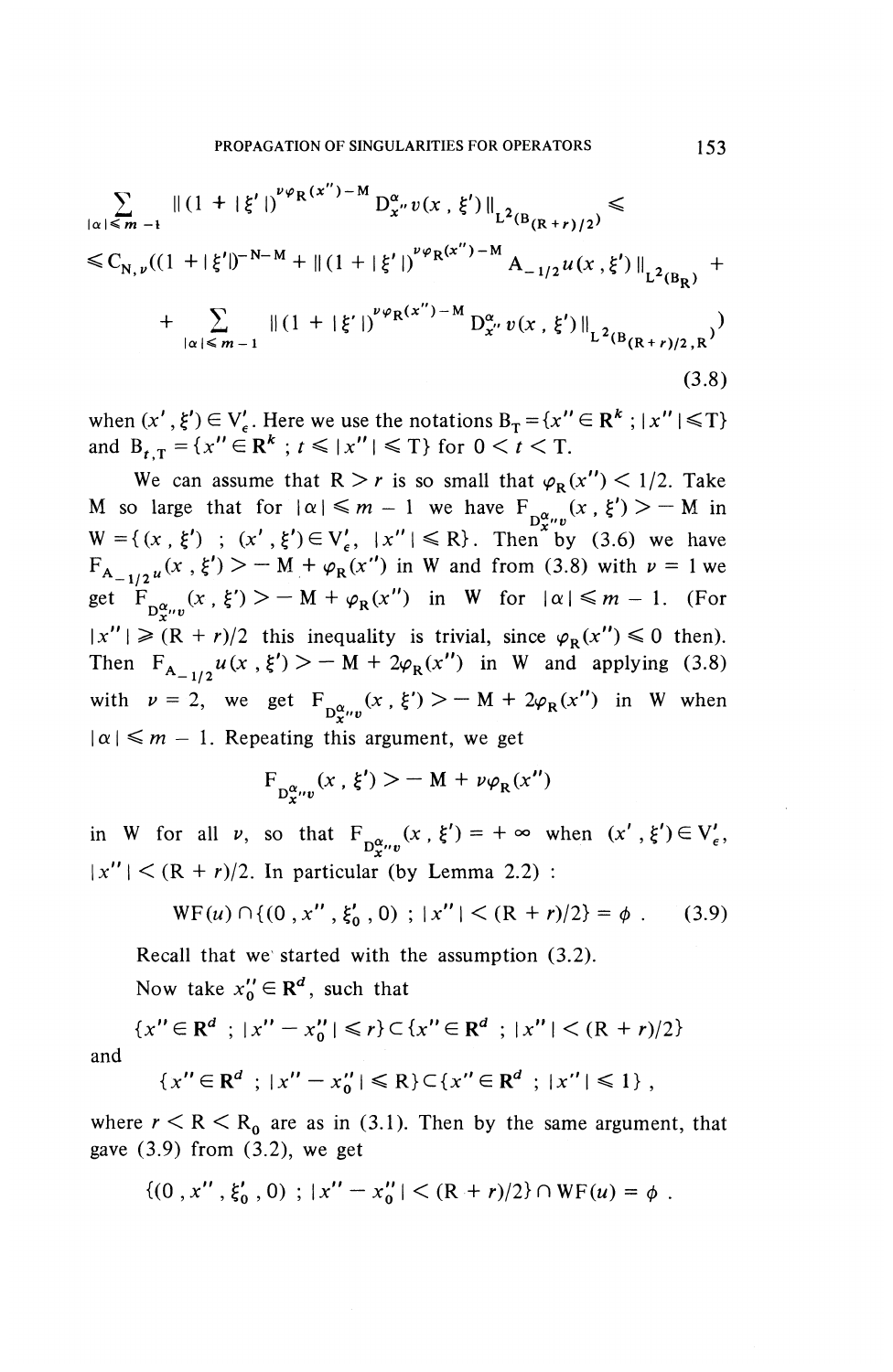$$
\sum_{|\alpha| \leq m-1} ||(1 + |\xi'|)^{\nu \varphi_R(x'') - M} D_{x''}^{\alpha} v(x, \xi')||_{L^2(B_{(R+r)/2})} \leq
$$
\n
$$
\leq C_{N, \nu} ((1 + |\xi'|)^{-N-M} + ||(1 + |\xi'|)^{\nu \varphi_R(x'') - M} A_{-1/2} u(x, \xi')||_{L^2(B_R)} +
$$
\n
$$
+ \sum_{|\alpha| \leq m-1} ||(1 + |\xi'|)^{\nu \varphi_R(x'') - M} D_{x''}^{\alpha} v(x, \xi')||_{L^2(B_{(R+r)/2,R})}
$$
\n(3.8)

when  $(x', \xi') \in V'_\epsilon$ . Here we use the notations  $B_T = \{x'' \in \mathbb{R}^k : |x''| \le T\}$ and  $B_{t,T} = \{x'' \in \mathbb{R}^k : t \le |x''| \le T\}$  for  $0 < t < T$ .

We can assume that  $R > r$  is so small that  $\varphi_R(x'') < 1/2$ . Take M so large that for  $|\alpha| \leq m - 1$  we have  $F_{D^{\alpha}_{\mathbf{r}}(x)}(x, \xi') > -M$  in  $W = \{ (x, \xi') ; (x', \xi') \in V_{\epsilon}', \ |x''| \le R \}.$  Then by (3.6) we have  $W = \{ (x, \xi') : (x', \xi') \in V'_\epsilon, |x''| \le R \}.$  Then by (3.6) we like  $F_{A_{-1/2}u}(x, \xi') > -M + \varphi_R(x'')$  in W and from (3.8) with  $\nu =$ get  $\int_{\mathcal{D}_{\mathbf{x}}^{\alpha}v}^{t^*} (x, \xi')$  > - M +  $\varphi_R(x'')$  in W for  $|\alpha| \leq m-1$ . (For  $|x''| \ge (R + r)/2$  this inequality is trivial, since  $\varphi_R(x'') \le 0$  then). Then  $F_{A_{-1/2}} u(x, \xi') > - M + 2\varphi_R(x'')$  in W and applying (3.8) with  $\nu=2$ , we get  $F^{(x)}_{\mathbf{D}_{\mathbf{C}''\mathbf{D}}}(x , \xi') > - M + 2\varphi_{\mathbf{R}}(x'')$  in W when  $|\alpha| \leq m - 1$ . Repeating this argument, we get

$$
F_{D_{\mathbf{x}''\mathbf{v}}}(\mathbf{x},\,\xi') > -\mathbf{M} + \nu \varphi_R(\mathbf{x}'')
$$

in W for all  $\nu$ , so that  $F^{(x)}_{D_x^{\alpha} \nu}(x, \xi')=+\infty$  when  $(x', \xi') \in V'_{\epsilon}$ ,  $|x''| < (R + r)/2$ . In particular (by Lemma 2.2):

$$
WF(u) \cap \{(0, x'', \xi'_0, 0) ; |x''| < (R+r)/2\} = \phi . \tag{3.9}
$$

Recall that we started with the assumption (3.2).

Now take  $x_0'' \in \mathbb{R}^d$ , such that

$$
\{x'' \in \mathbb{R}^d \; ; \; |x'' - x_0''| \le r\} \subset \{x'' \in \mathbb{R}^d \; ; \; |x''| < (R+r)/2\}
$$
\n
$$
\{x'' \in \mathbb{R}^d \; ; \; |x''| < P\} \subset \{x'' \in \mathbb{R}^d \; ; \; |x''| < 1\}
$$

an

$$
\{x'' \in \mathbb{R}^d \; ; \; |x'' - x_0''| \leq R\} \subset \{x'' \in \mathbb{R}^d \; ; \; |x''| \leq 1\} \; ,
$$

where  $r < R < R_0$  are as in (3.1). Then by the same argument, that gave  $(3.9)$  from  $(3.2)$ , we get

$$
\{(0, x'', \xi'_0, 0) : |x'' - x''_0| < (R + r)/2\} \cap \text{WF}(u) = \phi.
$$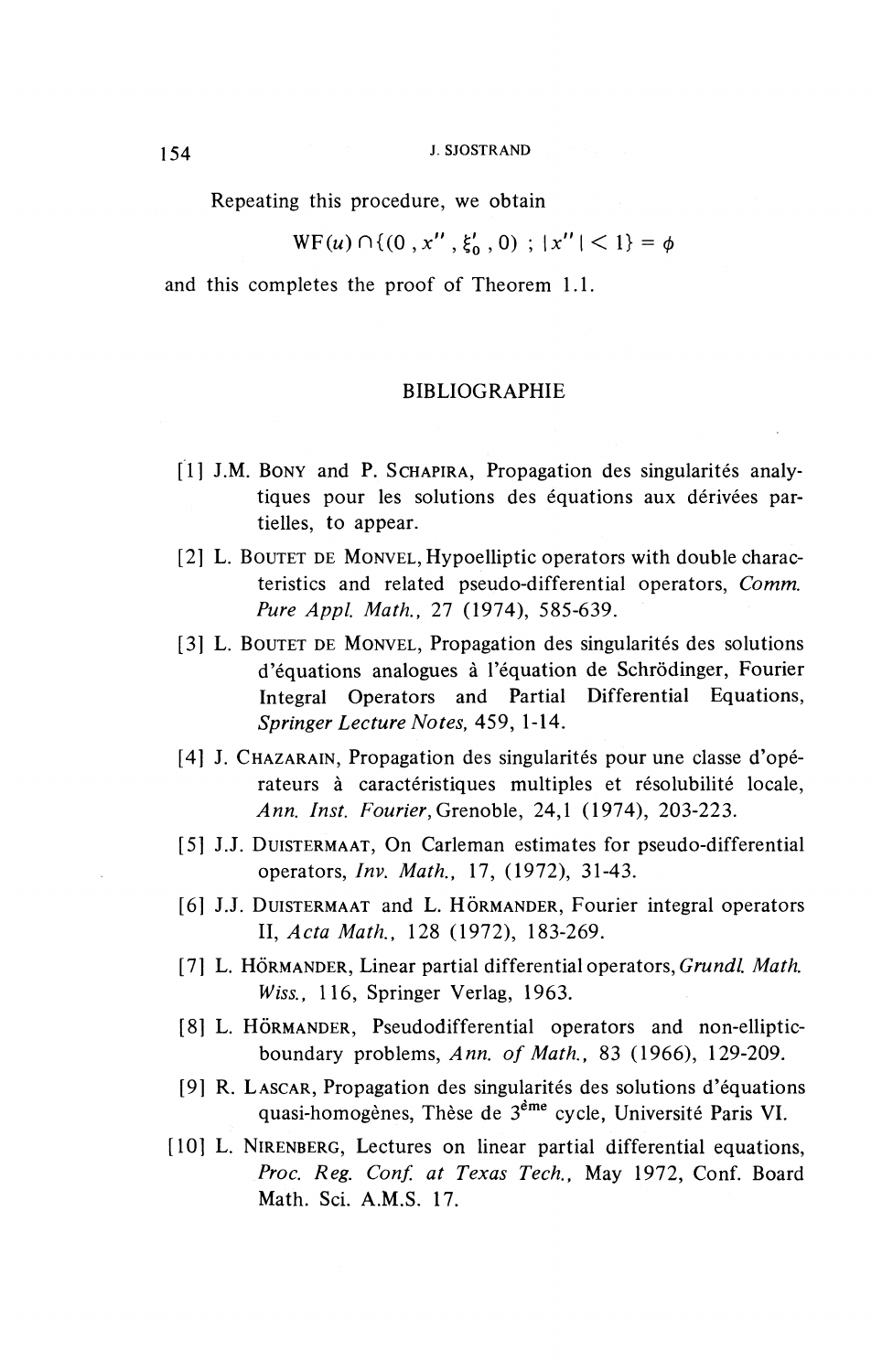Repeating this procedure, we obtain

$$
WF(u) \cap \{(0, x'', \xi'_0, 0) ; |x''| < 1\} = \phi
$$

and this completes the proof of Theorem 1.1.

#### BIBLIOGRAPHIE

- $[1]$  J.M. BONY and P. SCHAPIRA, Propagation des singularités analytiques pour les solutions des équations aux dérivées partielles, to appear.
- [2] L. BOUTET DE MONVEL, Hypoelliptic operators with double characteristics and related pseudo-differential operators, *Comm. Pure Appl. Math.,* 27 (1974), 585-639.
- [3] L. BOUTET DE MONVEL, Propagation des singularités des solutions d'equations analogues a 1'equation de Schrodinger, Fourier Integral Operators and Partial Differential Equations, *Springer Lecture Notes,* 459, 1-14.
- [4] J. CHAZARAIN, Propagation des singularités pour une classe d'opérateurs à caractéristiques multiples et résolubilité locale, *Ann. Inst. Fourier,* Grenoble, 24,1 (1974), 203-223.
- [5] J.J. DUISTERMAAT, On Carleman estimates for pseudo-differential operators, *Inv. Math,* 17, (1972), 31-43.
- [6] J.J. DUISTERMAAT and L. HÖRMANDER, Fourier integral operators II, *Acta Math.,* 128 (1972), 183-269.
- [7] L. HÖRMANDER, Linear partial differential operators, *Grundl. Math. Wiss.,* 116, Springer Verlag, 1963.
- [8] L. HÖRMANDER, Pseudodifferential operators and non-ellipticboundary problems, *Ann. of Math.,* 83 (1966), 129-209.
- [9] R. LASCAR, Propagation des singularites des solutions d'equations quasi-homogenes, These de 3eme cycle, Universite Paris **VI.**
- [10] L. NIRENBERG, Lectures on linear partial differential equations, *Proc. Reg. Conf. at Texas Tech.,* May 1972, Conf. Board Math. Sci. A.M.S. 17.